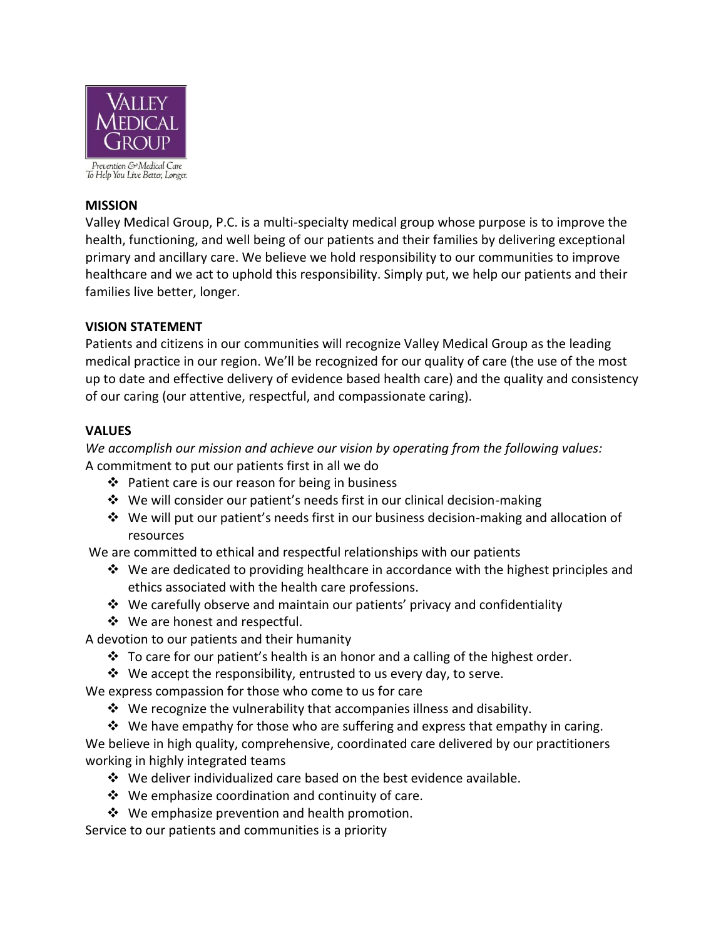

To Help You Live Better, Longer.

# **MISSION**

Valley Medical Group, P.C. is a multi-specialty medical group whose purpose is to improve the health, functioning, and well being of our patients and their families by delivering exceptional primary and ancillary care. We believe we hold responsibility to our communities to improve healthcare and we act to uphold this responsibility. Simply put, we help our patients and their families live better, longer.

## **VISION STATEMENT**

Patients and citizens in our communities will recognize Valley Medical Group as the leading medical practice in our region. We'll be recognized for our quality of care (the use of the most up to date and effective delivery of evidence based health care) and the quality and consistency of our caring (our attentive, respectful, and compassionate caring).

## **VALUES**

*We accomplish our mission and achieve our vision by operating from the following values:* A commitment to put our patients first in all we do

- $\div$  Patient care is our reason for being in business
- $\cdot \cdot$  We will consider our patient's needs first in our clinical decision-making
- We will put our patient's needs first in our business decision-making and allocation of resources

We are committed to ethical and respectful relationships with our patients

- $\div$  We are dedicated to providing healthcare in accordance with the highest principles and ethics associated with the health care professions.
- $\mathbf{\hat{P}}$  We carefully observe and maintain our patients' privacy and confidentiality
- ❖ We are honest and respectful.

A devotion to our patients and their humanity

- $\cdot \cdot$  To care for our patient's health is an honor and a calling of the highest order.
- $\mathbf{\hat{P}}$  We accept the responsibility, entrusted to us every day, to serve.

We express compassion for those who come to us for care

 $\cdot$  We recognize the vulnerability that accompanies illness and disability.

 $\div$  We have empathy for those who are suffering and express that empathy in caring. We believe in high quality, comprehensive, coordinated care delivered by our practitioners working in highly integrated teams

- $\cdot \cdot$  We deliver individualized care based on the best evidence available.
- $\mathbf{\hat{P}}$  We emphasize coordination and continuity of care.
- $\div$  We emphasize prevention and health promotion.

Service to our patients and communities is a priority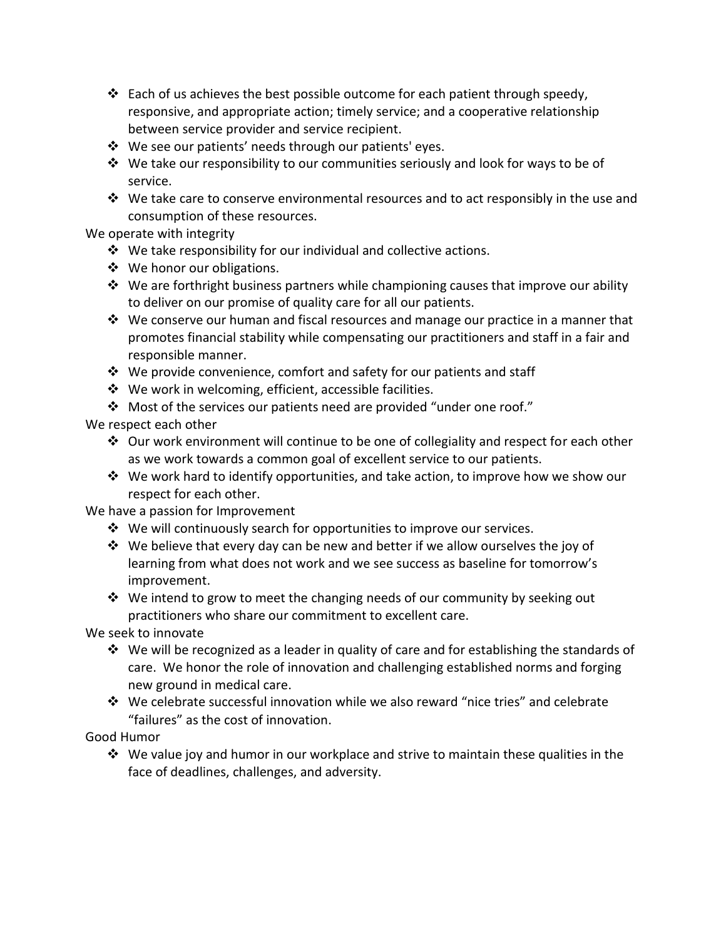- $\cdot \cdot$  Each of us achieves the best possible outcome for each patient through speedy, responsive, and appropriate action; timely service; and a cooperative relationship between service provider and service recipient.
- We see our patients' needs through our patients' eyes.
- $\div$  We take our responsibility to our communities seriously and look for ways to be of service.
- $\cdot$  We take care to conserve environmental resources and to act responsibly in the use and consumption of these resources.

We operate with integrity

- $\mathbf{\hat{P}}$  We take responsibility for our individual and collective actions.
- ❖ We honor our obligations.
- $\mathbf{\hat{P}}$  We are forthright business partners while championing causes that improve our ability to deliver on our promise of quality care for all our patients.
- $\cdot \cdot \cdot$  We conserve our human and fiscal resources and manage our practice in a manner that promotes financial stability while compensating our practitioners and staff in a fair and responsible manner.
- $\cdot$  We provide convenience, comfort and safety for our patients and staff
- ❖ We work in welcoming, efficient, accessible facilities.
- $\cdot$  Most of the services our patients need are provided "under one roof."

We respect each other

- $\clubsuit$  Our work environment will continue to be one of collegiality and respect for each other as we work towards a common goal of excellent service to our patients.
- $\div$  We work hard to identify opportunities, and take action, to improve how we show our respect for each other.

We have a passion for Improvement

- $\cdot$  We will continuously search for opportunities to improve our services.
- We believe that every day can be new and better if we allow ourselves the joy of learning from what does not work and we see success as baseline for tomorrow's improvement.
- $\mathbf{\hat{P}}$  We intend to grow to meet the changing needs of our community by seeking out practitioners who share our commitment to excellent care.

We seek to innovate

- $\div$  We will be recognized as a leader in quality of care and for establishing the standards of care. We honor the role of innovation and challenging established norms and forging new ground in medical care.
- We celebrate successful innovation while we also reward "nice tries" and celebrate "failures" as the cost of innovation.

Good Humor

 $\clubsuit$  We value joy and humor in our workplace and strive to maintain these qualities in the face of deadlines, challenges, and adversity.